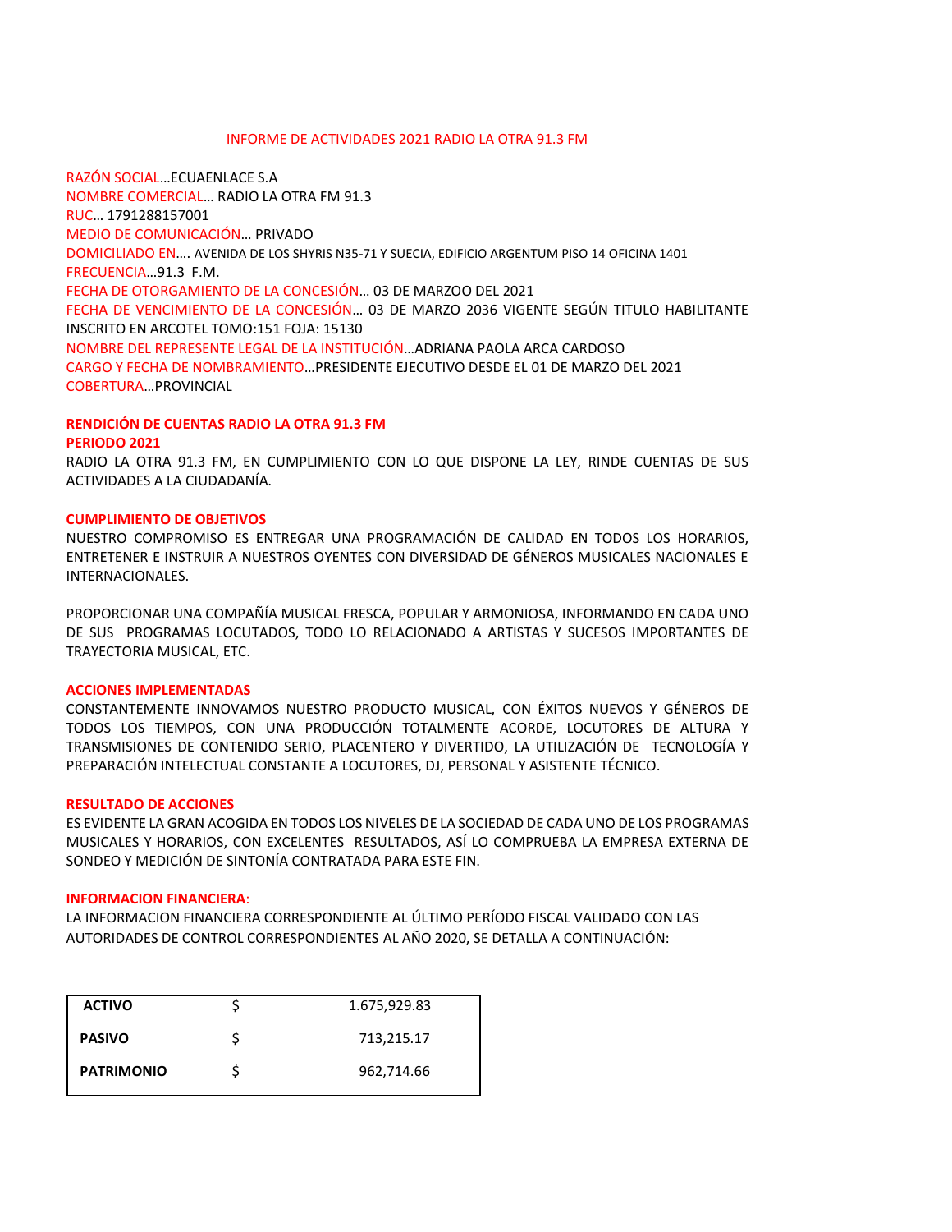### INFORME DE ACTIVIDADES 2021 RADIO LA OTRA 91.3 FM

RAZÓN SOCIAL…ECUAENLACE S.A NOMBRE COMERCIAL… RADIO LA OTRA FM 91.3 RUC… 1791288157001 MEDIO DE COMUNICACIÓN… PRIVADO DOMICILIADO EN…. AVENIDA DE LOS SHYRIS N35-71 Y SUECIA, EDIFICIO ARGENTUM PISO 14 OFICINA 1401 FRECUENCIA…91.3 F.M. FECHA DE OTORGAMIENTO DE LA CONCESIÓN… 03 DE MARZOO DEL 2021 FECHA DE VENCIMIENTO DE LA CONCESIÓN… 03 DE MARZO 2036 VIGENTE SEGÚN TITULO HABILITANTE INSCRITO EN ARCOTEL TOMO:151 FOJA: 15130 NOMBRE DEL REPRESENTE LEGAL DE LA INSTITUCIÓN…ADRIANA PAOLA ARCA CARDOSO CARGO Y FECHA DE NOMBRAMIENTO…PRESIDENTE EJECUTIVO DESDE EL 01 DE MARZO DEL 2021 COBERTURA…PROVINCIAL

### **RENDICIÓN DE CUENTAS RADIO LA OTRA 91.3 FM PERIODO 2021**

RADIO LA OTRA 91.3 FM, EN CUMPLIMIENTO CON LO QUE DISPONE LA LEY, RINDE CUENTAS DE SUS ACTIVIDADES A LA CIUDADANÍA.

# **CUMPLIMIENTO DE OBJETIVOS**

NUESTRO COMPROMISO ES ENTREGAR UNA PROGRAMACIÓN DE CALIDAD EN TODOS LOS HORARIOS, ENTRETENER E INSTRUIR A NUESTROS OYENTES CON DIVERSIDAD DE GÉNEROS MUSICALES NACIONALES E INTERNACIONALES.

PROPORCIONAR UNA COMPAÑÍA MUSICAL FRESCA, POPULAR Y ARMONIOSA, INFORMANDO EN CADA UNO DE SUS PROGRAMAS LOCUTADOS, TODO LO RELACIONADO A ARTISTAS Y SUCESOS IMPORTANTES DE TRAYECTORIA MUSICAL, ETC.

### **ACCIONES IMPLEMENTADAS**

CONSTANTEMENTE INNOVAMOS NUESTRO PRODUCTO MUSICAL, CON ÉXITOS NUEVOS Y GÉNEROS DE TODOS LOS TIEMPOS, CON UNA PRODUCCIÓN TOTALMENTE ACORDE, LOCUTORES DE ALTURA Y TRANSMISIONES DE CONTENIDO SERIO, PLACENTERO Y DIVERTIDO, LA UTILIZACIÓN DE TECNOLOGÍA Y PREPARACIÓN INTELECTUAL CONSTANTE A LOCUTORES, DJ, PERSONAL Y ASISTENTE TÉCNICO.

# **RESULTADO DE ACCIONES**

ES EVIDENTE LA GRAN ACOGIDA EN TODOS LOS NIVELES DE LA SOCIEDAD DE CADA UNO DE LOS PROGRAMAS MUSICALES Y HORARIOS, CON EXCELENTES RESULTADOS, ASÍ LO COMPRUEBA LA EMPRESA EXTERNA DE SONDEO Y MEDICIÓN DE SINTONÍA CONTRATADA PARA ESTE FIN.

### **INFORMACION FINANCIERA**:

LA INFORMACION FINANCIERA CORRESPONDIENTE AL ÚLTIMO PERÍODO FISCAL VALIDADO CON LAS AUTORIDADES DE CONTROL CORRESPONDIENTES AL AÑO 2020, SE DETALLA A CONTINUACIÓN:

| <b>ACTIVO</b>     | 1.675,929.83 |
|-------------------|--------------|
| <b>PASIVO</b>     | 713,215.17   |
| <b>PATRIMONIO</b> | 962,714.66   |